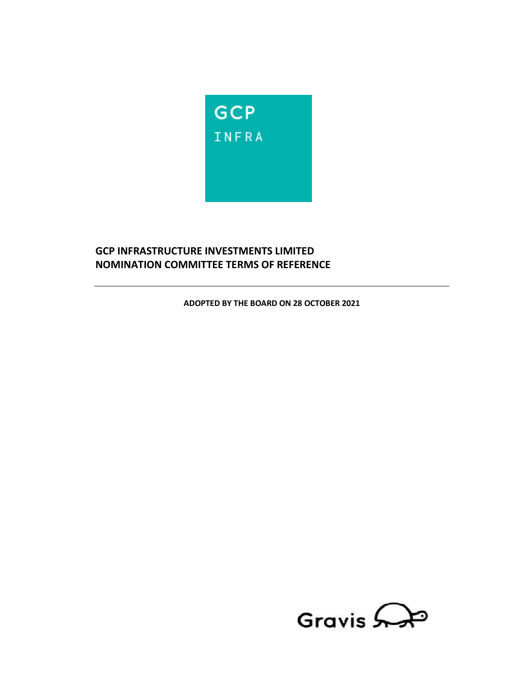

# **GCP INFRASTRUCTURE INVESTMENTS LIMITED NOMINATION COMMITTEE TERMS OF REFERENCE**

**ADOPTED BY THE BOARD ON 28 OCTOBER 2021** 

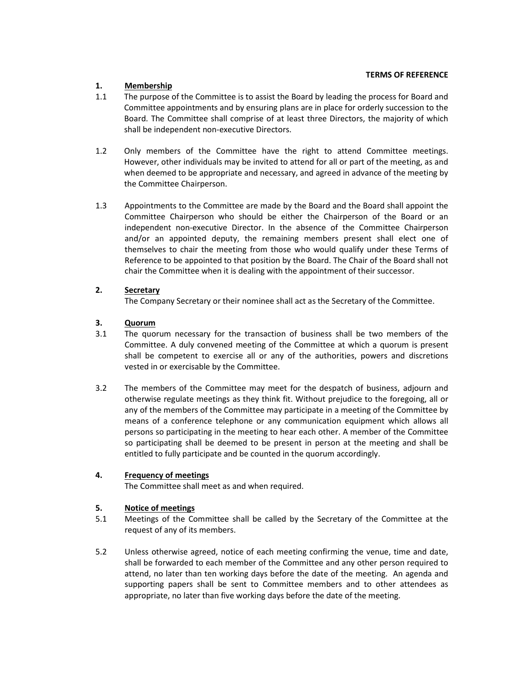# **1. Membership**

- 1.1 The purpose of the Committee is to assist the Board by leading the process for Board and Committee appointments and by ensuring plans are in place for orderly succession to the Board. The Committee shall comprise of at least three Directors, the majority of which shall be independent non-executive Directors.
- 1.2 Only members of the Committee have the right to attend Committee meetings. However, other individuals may be invited to attend for all or part of the meeting, as and when deemed to be appropriate and necessary, and agreed in advance of the meeting by the Committee Chairperson.
- 1.3 Appointments to the Committee are made by the Board and the Board shall appoint the Committee Chairperson who should be either the Chairperson of the Board or an independent non-executive Director. In the absence of the Committee Chairperson and/or an appointed deputy, the remaining members present shall elect one of themselves to chair the meeting from those who would qualify under these Terms of Reference to be appointed to that position by the Board. The Chair of the Board shall not chair the Committee when it is dealing with the appointment of their successor.

## **2. Secretary**

The Company Secretary or their nominee shall act as the Secretary of the Committee.

## **3. Quorum**

- 3.1 The quorum necessary for the transaction of business shall be two members of the Committee. A duly convened meeting of the Committee at which a quorum is present shall be competent to exercise all or any of the authorities, powers and discretions vested in or exercisable by the Committee.
- 3.2 The members of the Committee may meet for the despatch of business, adjourn and otherwise regulate meetings as they think fit. Without prejudice to the foregoing, all or any of the members of the Committee may participate in a meeting of the Committee by means of a conference telephone or any communication equipment which allows all persons so participating in the meeting to hear each other. A member of the Committee so participating shall be deemed to be present in person at the meeting and shall be entitled to fully participate and be counted in the quorum accordingly.

## **4. Frequency of meetings**

The Committee shall meet as and when required.

## **5. Notice of meetings**

- 5.1 Meetings of the Committee shall be called by the Secretary of the Committee at the request of any of its members.
- 5.2 Unless otherwise agreed, notice of each meeting confirming the venue, time and date, shall be forwarded to each member of the Committee and any other person required to attend, no later than ten working days before the date of the meeting. An agenda and supporting papers shall be sent to Committee members and to other attendees as appropriate, no later than five working days before the date of the meeting.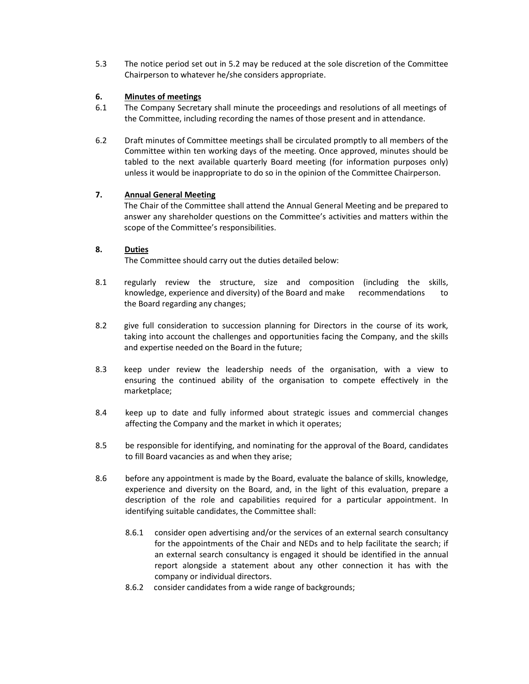5.3 The notice period set out in 5.2 may be reduced at the sole discretion of the Committee Chairperson to whatever he/she considers appropriate.

# **6. Minutes of meetings**

- 6.1 The Company Secretary shall minute the proceedings and resolutions of all meetings of the Committee, including recording the names of those present and in attendance.
- 6.2 Draft minutes of Committee meetings shall be circulated promptly to all members of the Committee within ten working days of the meeting. Once approved, minutes should be tabled to the next available quarterly Board meeting (for information purposes only) unless it would be inappropriate to do so in the opinion of the Committee Chairperson.

## **7. Annual General Meeting**

 The Chair of the Committee shall attend the Annual General Meeting and be prepared to answer any shareholder questions on the Committee's activities and matters within the scope of the Committee's responsibilities.

## **8. Duties**

The Committee should carry out the duties detailed below:

- 8.1 regularly review the structure, size and composition (including the skills, knowledge, experience and diversity) of the Board and make recommendations to the Board regarding any changes;
- 8.2 give full consideration to succession planning for Directors in the course of its work, taking into account the challenges and opportunities facing the Company, and the skills and expertise needed on the Board in the future;
- 8.3 keep under review the leadership needs of the organisation, with a view to ensuring the continued ability of the organisation to compete effectively in the marketplace;
- 8.4 keep up to date and fully informed about strategic issues and commercial changes affecting the Company and the market in which it operates;
- 8.5 be responsible for identifying, and nominating for the approval of the Board, candidates to fill Board vacancies as and when they arise;
- 8.6 before any appointment is made by the Board, evaluate the balance of skills, knowledge, experience and diversity on the Board, and, in the light of this evaluation, prepare a description of the role and capabilities required for a particular appointment. In identifying suitable candidates, the Committee shall:
	- 8.6.1 consider open advertising and/or the services of an external search consultancy for the appointments of the Chair and NEDs and to help facilitate the search; if an external search consultancy is engaged it should be identified in the annual report alongside a statement about any other connection it has with the company or individual directors.
	- 8.6.2 consider candidates from a wide range of backgrounds;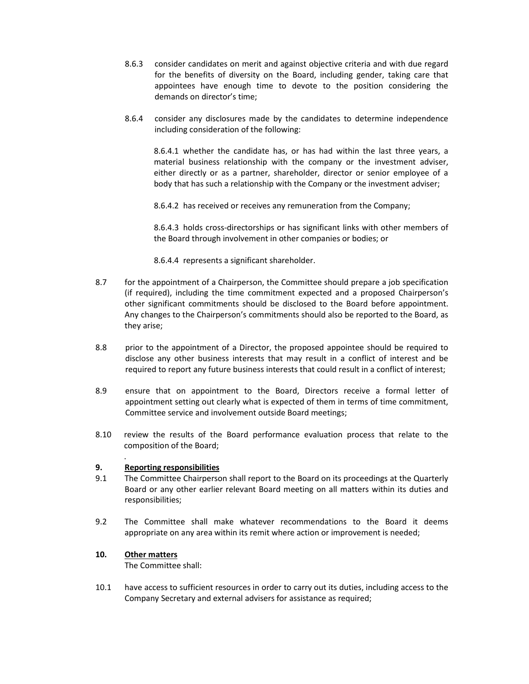- 8.6.3 consider candidates on merit and against objective criteria and with due regard for the benefits of diversity on the Board, including gender, taking care that appointees have enough time to devote to the position considering the demands on director's time;
- 8.6.4 consider any disclosures made by the candidates to determine independence including consideration of the following:

8.6.4.1 whether the candidate has, or has had within the last three years, a material business relationship with the company or the investment adviser, either directly or as a partner, shareholder, director or senior employee of a body that has such a relationship with the Company or the investment adviser;

8.6.4.2 has received or receives any remuneration from the Company;

8.6.4.3 holds cross-directorships or has significant links with other members of the Board through involvement in other companies or bodies; or

8.6.4.4 represents a significant shareholder.

- 8.7 for the appointment of a Chairperson, the Committee should prepare a job specification (if required), including the time commitment expected and a proposed Chairperson's other significant commitments should be disclosed to the Board before appointment. Any changes to the Chairperson's commitments should also be reported to the Board, as they arise;
- 8.8 prior to the appointment of a Director, the proposed appointee should be required to disclose any other business interests that may result in a conflict of interest and be required to report any future business interests that could result in a conflict of interest;
- 8.9 ensure that on appointment to the Board, Directors receive a formal letter of appointment setting out clearly what is expected of them in terms of time commitment, Committee service and involvement outside Board meetings;
- 8.10 review the results of the Board performance evaluation process that relate to the composition of the Board;

## **9. Reporting responsibilities**

- 9.1 The Committee Chairperson shall report to the Board on its proceedings at the Quarterly Board or any other earlier relevant Board meeting on all matters within its duties and responsibilities;
- 9.2 The Committee shall make whatever recommendations to the Board it deems appropriate on any area within its remit where action or improvement is needed;

## **10. Other matters**

.

The Committee shall:

10.1 have access to sufficient resources in order to carry out its duties, including access to the Company Secretary and external advisers for assistance as required;